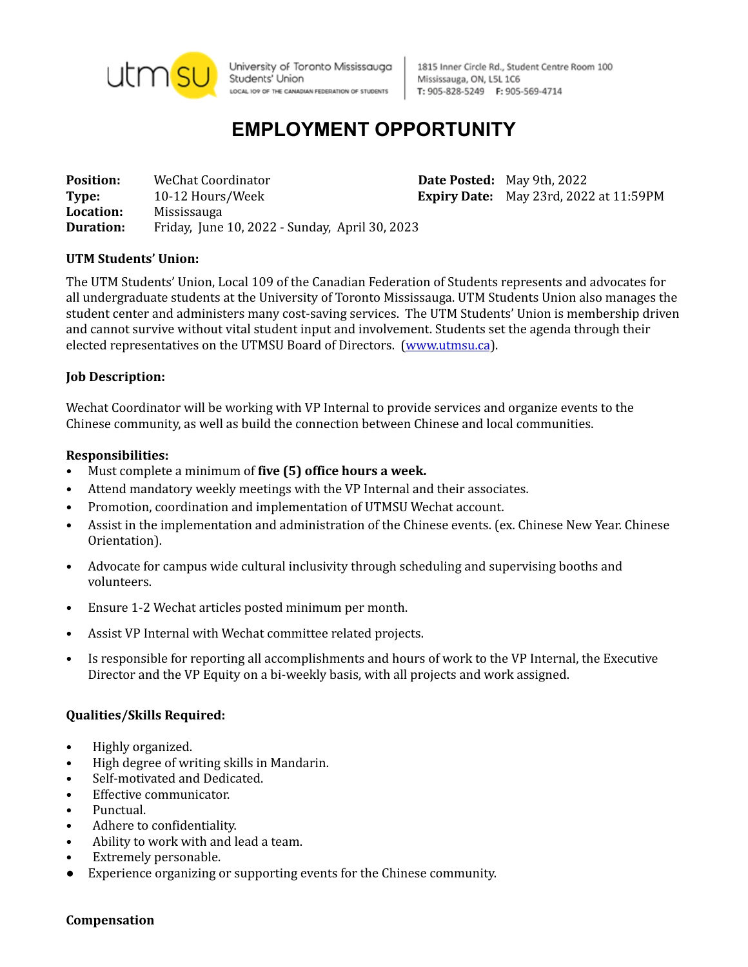

University of Toronto Mississauga Students' Union LOCAL IO9 OF THE CANADIAN FEDERATION OF STUDENTS

1815 Inner Circle Rd., Student Centre Room 100 Mississauga, ON, L5L 1C6 T: 905-828-5249 F: 905-569-4714

# **EMPLOYMENT OPPORTUNITY**

**Position:** WeChat Coordinator **Date Posted:** May 9th, 2022 **Type:** 10-12 Hours/Week **Expiry Date:** May 23rd, 2022 at 11:59PM **Location:** Mississauga **Duration:** Friday, June 10, 2022 - Sunday, April 30, 2023

### **UTM Students' Union:**

The UTM Students' Union, Local 109 of the Canadian Federation of Students represents and advocates for all undergraduate students at the University of Toronto Mississauga. UTM Students Union also manages the student center and administers many cost-saving services. The UTM Students' Union is membership driven and cannot survive without vital student input and involvement. Students set the agenda through their elected representatives on the UTMSU Board of Directors. [\(www.utmsu.ca](http://www.utmsu.ca)).

#### **Job Description:**

Wechat Coordinator will be working with VP Internal to provide services and organize events to the Chinese community, as well as build the connection between Chinese and local communities.

#### **Responsibilities:**

- Must complete a minimum of **five (5) office hours a week.**
- Attend mandatory weekly meetings with the VP Internal and their associates.
- Promotion, coordination and implementation of UTMSU Wechat account.
- Assist in the implementation and administration of the Chinese events. (ex. Chinese New Year. Chinese Orientation).
- Advocate for campus wide cultural inclusivity through scheduling and supervising booths and volunteers.
- Ensure 1-2 Wechat articles posted minimum per month.
- Assist VP Internal with Wechat committee related projects.
- Is responsible for reporting all accomplishments and hours of work to the VP Internal, the Executive Director and the VP Equity on a bi-weekly basis, with all projects and work assigned.

#### **Qualities/Skills Required:**

- Highly organized.
- High degree of writing skills in Mandarin.
- Self-motivated and Dedicated.
- Effective communicator.
- Punctual.
- Adhere to confidentiality.
- Ability to work with and lead a team.
- Extremely personable.
- Experience organizing or supporting events for the Chinese community.

#### **Compensation**